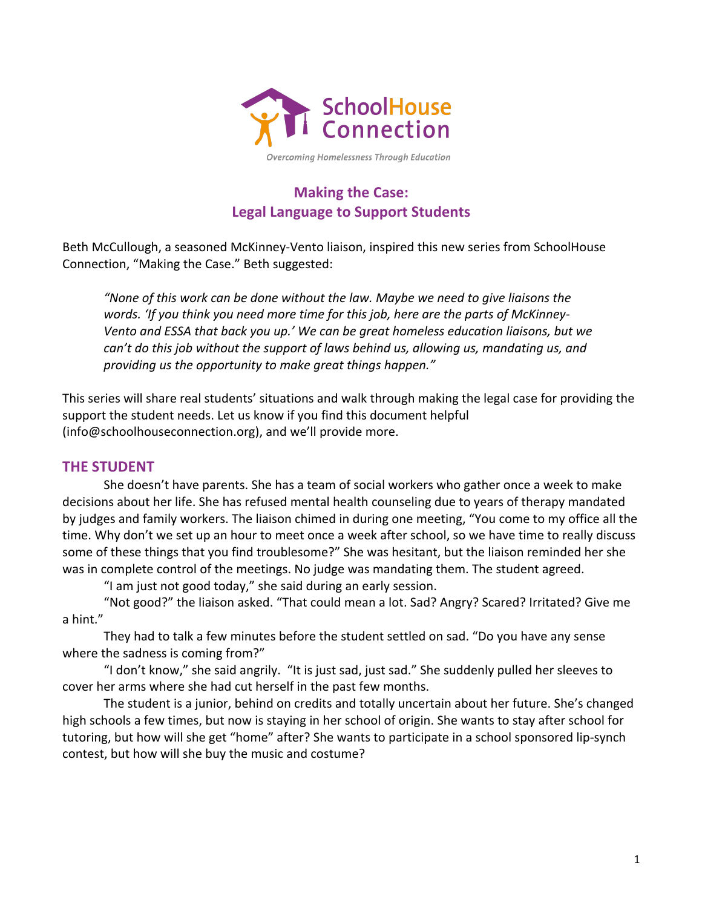

Overcoming Homelessness Through Education

## **Making the Case:** Legal Language to Support Students

Beth McCullough, a seasoned McKinney-Vento liaison, inspired this new series from SchoolHouse Connection, "Making the Case." Beth suggested:

*"None of this work can be done without the law. Maybe we need to give liaisons the*  words. 'If you think you need more time for this job, here are the parts of McKinney-*Vento and ESSA that back you up.' We can be great homeless education liaisons, but we can't do this job without the support of laws behind us, allowing us, mandating us, and* providing us the opportunity to make great things happen."

This series will share real students' situations and walk through making the legal case for providing the support the student needs. Let us know if you find this document helpful  $(info@schoolhouseconnection.org)$ , and we'll provide more.

## **THE STUDENT**

She doesn't have parents. She has a team of social workers who gather once a week to make decisions about her life. She has refused mental health counseling due to years of therapy mandated by judges and family workers. The liaison chimed in during one meeting, "You come to my office all the time. Why don't we set up an hour to meet once a week after school, so we have time to really discuss some of these things that you find troublesome?" She was hesitant, but the liaison reminded her she was in complete control of the meetings. No judge was mandating them. The student agreed.

"I am just not good today," she said during an early session.

"Not good?" the liaison asked. "That could mean a lot. Sad? Angry? Scared? Irritated? Give me a hint."

They had to talk a few minutes before the student settled on sad. "Do you have any sense where the sadness is coming from?"

"I don't know," she said angrily. "It is just sad, just sad." She suddenly pulled her sleeves to cover her arms where she had cut herself in the past few months.

The student is a junior, behind on credits and totally uncertain about her future. She's changed high schools a few times, but now is staying in her school of origin. She wants to stay after school for tutoring, but how will she get "home" after? She wants to participate in a school sponsored lip-synch contest, but how will she buy the music and costume?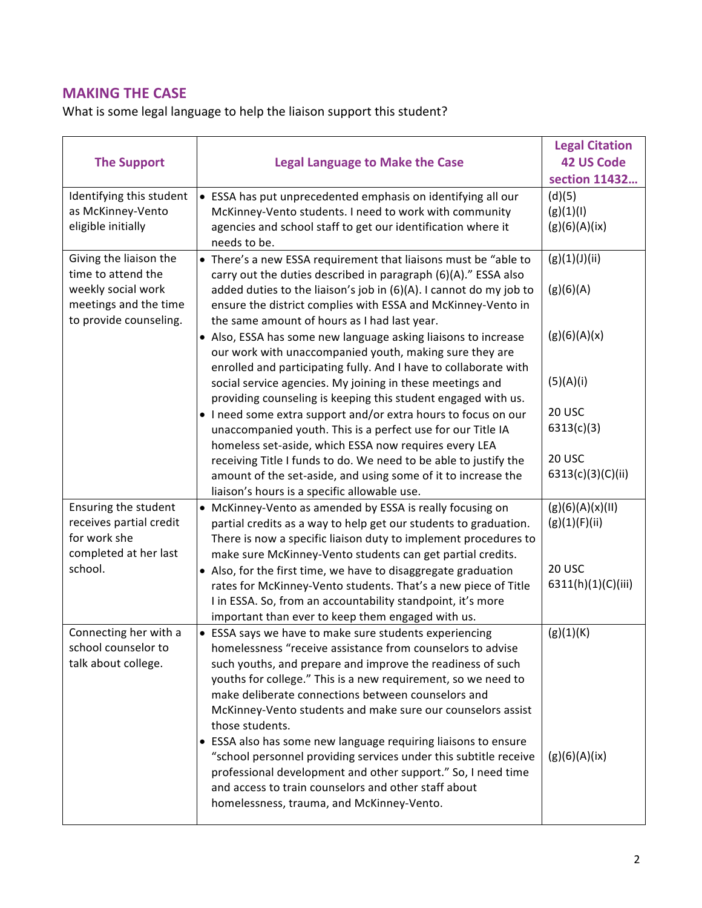## **MAKING THE CASE**

What is some legal language to help the liaison support this student?

| <b>The Support</b>                                                                          | <b>Legal Language to Make the Case</b>                                                                                                                                                                                                                                                                                                                                                      | <b>Legal Citation</b><br><b>42 US Code</b><br>section 11432 |
|---------------------------------------------------------------------------------------------|---------------------------------------------------------------------------------------------------------------------------------------------------------------------------------------------------------------------------------------------------------------------------------------------------------------------------------------------------------------------------------------------|-------------------------------------------------------------|
| Identifying this student<br>as McKinney-Vento<br>eligible initially                         | • ESSA has put unprecedented emphasis on identifying all our<br>McKinney-Vento students. I need to work with community<br>agencies and school staff to get our identification where it<br>needs to be.                                                                                                                                                                                      | (d)(5)<br>(g)(1)(1)<br>(g)(6)(A)(ix)                        |
| Giving the liaison the<br>time to attend the<br>weekly social work<br>meetings and the time | • There's a new ESSA requirement that liaisons must be "able to<br>carry out the duties described in paragraph (6)(A)." ESSA also<br>added duties to the liaison's job in (6)(A). I cannot do my job to<br>ensure the district complies with ESSA and McKinney-Vento in                                                                                                                     | (g)(1)(J)(ii)<br>(g)(6)(A)                                  |
| to provide counseling.                                                                      | the same amount of hours as I had last year.<br>• Also, ESSA has some new language asking liaisons to increase<br>our work with unaccompanied youth, making sure they are<br>enrolled and participating fully. And I have to collaborate with                                                                                                                                               | (g)(6)(A)(x)                                                |
|                                                                                             | social service agencies. My joining in these meetings and<br>providing counseling is keeping this student engaged with us.<br>• I need some extra support and/or extra hours to focus on our<br>unaccompanied youth. This is a perfect use for our Title IA<br>homeless set-aside, which ESSA now requires every LEA                                                                        | (5)(A)(i)<br>20 USC<br>6313(c)(3)                           |
|                                                                                             | receiving Title I funds to do. We need to be able to justify the<br>amount of the set-aside, and using some of it to increase the<br>liaison's hours is a specific allowable use.                                                                                                                                                                                                           | 20 USC<br>6313(c)(3)(C)(ii)                                 |
| Ensuring the student<br>receives partial credit<br>for work she<br>completed at her last    | • McKinney-Vento as amended by ESSA is really focusing on<br>partial credits as a way to help get our students to graduation.<br>There is now a specific liaison duty to implement procedures to<br>make sure McKinney-Vento students can get partial credits.                                                                                                                              | (g)(6)(A)(x)(II)<br>(g)(1)(F)(ii)                           |
| school.                                                                                     | • Also, for the first time, we have to disaggregate graduation<br>rates for McKinney-Vento students. That's a new piece of Title<br>I in ESSA. So, from an accountability standpoint, it's more<br>important than ever to keep them engaged with us.                                                                                                                                        | 20 USC<br>6311(h)(1)(C)(iii)                                |
| Connecting her with a<br>school counselor to<br>talk about college.                         | • ESSA says we have to make sure students experiencing<br>homelessness "receive assistance from counselors to advise<br>such youths, and prepare and improve the readiness of such<br>youths for college." This is a new requirement, so we need to<br>make deliberate connections between counselors and<br>McKinney-Vento students and make sure our counselors assist<br>those students. | (g)(1)(K)                                                   |
|                                                                                             | • ESSA also has some new language requiring liaisons to ensure<br>"school personnel providing services under this subtitle receive<br>professional development and other support." So, I need time<br>and access to train counselors and other staff about<br>homelessness, trauma, and McKinney-Vento.                                                                                     | (g)(6)(A)(ix)                                               |